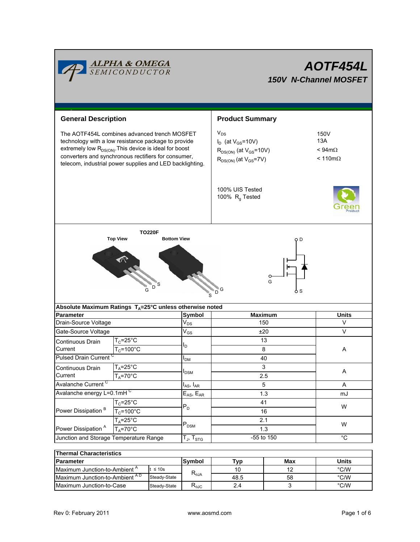

# *AOTF454L 150V N-Channel MOSFET*

| $V_{DS}$<br>The AOTF454L combines advanced trench MOSFET<br>150V<br>13A<br>$I_D$ (at $V_{GS}$ =10V)<br>technology with a low resistance package to provide<br>extremely low R <sub>DS(ON)</sub> . This device is ideal for boost<br>$< 94m\Omega$<br>$R_{DS(ON)}$ (at $V_{GS}$ =10V)<br>converters and synchronous rectifiers for consumer,<br>$< 110 \text{m}\Omega$<br>$R_{DS(ON)}$ (at $V_{GS}$ =7V)<br>telecom, industrial power supplies and LED backlighting.<br>100% UIS Tested<br>100% R <sub>q</sub> Tested<br><b>TO220F</b><br><b>Top View</b><br><b>Bottom View</b><br>o D<br>G<br>D<br>G<br>G<br>D.<br>6 S<br>Absolute Maximum Ratings T <sub>A</sub> =25°C unless otherwise noted<br><b>Symbol</b><br><b>Maximum</b><br>Units<br>Parameter<br>$V_{DS}$<br>$\vee$<br>Drain-Source Voltage<br>150<br>$\vee$<br>$V_{GS}$<br>Gate-Source Voltage<br>±20<br>$T_c = 25$ °C<br>13<br>Continuous Drain<br>l <sub>D</sub><br>Current<br>$T_c = 100^{\circ}C$<br>8<br>Α<br><b>Pulsed Drain Current</b><br>40<br>I <sub>DM</sub><br>3<br>$T_A = 25$ °C<br>Continuous Drain<br>Α<br>I <sub>DSM</sub><br>Current<br>$T_A = 70$ °C<br>2.5<br>Avalanche Current <sup>C</sup><br>5<br>$I_{AS}$ , $I_{AR}$<br>A<br>Avalanche energy L=0.1mHC<br>$E_{AS}$ , $E_{AR}$<br>1.3<br>mJ<br>$T_c = 25$ °C<br>41<br>$P_D$<br>W<br>Power Dissipation <sup>B</sup><br>$T_c = 100^{\circ}$ C<br>16<br>$T_A = 25$ °C<br>2.1<br>$P_{DSM}$<br>W<br>Power Dissipation <sup>A</sup><br>$T_A = 70^\circ C$<br>1.3<br>-55 to 150<br>$\overline{c}$<br>$T_{\text{J}}$ , $T_{\text{STG}}$<br>Junction and Storage Temperature Range | <b>General Description</b> |  | <b>Product Summary</b> |  |  |  |  |  |
|------------------------------------------------------------------------------------------------------------------------------------------------------------------------------------------------------------------------------------------------------------------------------------------------------------------------------------------------------------------------------------------------------------------------------------------------------------------------------------------------------------------------------------------------------------------------------------------------------------------------------------------------------------------------------------------------------------------------------------------------------------------------------------------------------------------------------------------------------------------------------------------------------------------------------------------------------------------------------------------------------------------------------------------------------------------------------------------------------------------------------------------------------------------------------------------------------------------------------------------------------------------------------------------------------------------------------------------------------------------------------------------------------------------------------------------------------------------------------------------------------------------------------------------------------------------------------------------------------------|----------------------------|--|------------------------|--|--|--|--|--|
|                                                                                                                                                                                                                                                                                                                                                                                                                                                                                                                                                                                                                                                                                                                                                                                                                                                                                                                                                                                                                                                                                                                                                                                                                                                                                                                                                                                                                                                                                                                                                                                                            |                            |  |                        |  |  |  |  |  |
|                                                                                                                                                                                                                                                                                                                                                                                                                                                                                                                                                                                                                                                                                                                                                                                                                                                                                                                                                                                                                                                                                                                                                                                                                                                                                                                                                                                                                                                                                                                                                                                                            |                            |  |                        |  |  |  |  |  |
|                                                                                                                                                                                                                                                                                                                                                                                                                                                                                                                                                                                                                                                                                                                                                                                                                                                                                                                                                                                                                                                                                                                                                                                                                                                                                                                                                                                                                                                                                                                                                                                                            |                            |  |                        |  |  |  |  |  |
|                                                                                                                                                                                                                                                                                                                                                                                                                                                                                                                                                                                                                                                                                                                                                                                                                                                                                                                                                                                                                                                                                                                                                                                                                                                                                                                                                                                                                                                                                                                                                                                                            |                            |  |                        |  |  |  |  |  |
|                                                                                                                                                                                                                                                                                                                                                                                                                                                                                                                                                                                                                                                                                                                                                                                                                                                                                                                                                                                                                                                                                                                                                                                                                                                                                                                                                                                                                                                                                                                                                                                                            |                            |  |                        |  |  |  |  |  |
|                                                                                                                                                                                                                                                                                                                                                                                                                                                                                                                                                                                                                                                                                                                                                                                                                                                                                                                                                                                                                                                                                                                                                                                                                                                                                                                                                                                                                                                                                                                                                                                                            |                            |  |                        |  |  |  |  |  |
|                                                                                                                                                                                                                                                                                                                                                                                                                                                                                                                                                                                                                                                                                                                                                                                                                                                                                                                                                                                                                                                                                                                                                                                                                                                                                                                                                                                                                                                                                                                                                                                                            |                            |  |                        |  |  |  |  |  |
|                                                                                                                                                                                                                                                                                                                                                                                                                                                                                                                                                                                                                                                                                                                                                                                                                                                                                                                                                                                                                                                                                                                                                                                                                                                                                                                                                                                                                                                                                                                                                                                                            |                            |  |                        |  |  |  |  |  |
|                                                                                                                                                                                                                                                                                                                                                                                                                                                                                                                                                                                                                                                                                                                                                                                                                                                                                                                                                                                                                                                                                                                                                                                                                                                                                                                                                                                                                                                                                                                                                                                                            |                            |  |                        |  |  |  |  |  |
|                                                                                                                                                                                                                                                                                                                                                                                                                                                                                                                                                                                                                                                                                                                                                                                                                                                                                                                                                                                                                                                                                                                                                                                                                                                                                                                                                                                                                                                                                                                                                                                                            |                            |  |                        |  |  |  |  |  |
|                                                                                                                                                                                                                                                                                                                                                                                                                                                                                                                                                                                                                                                                                                                                                                                                                                                                                                                                                                                                                                                                                                                                                                                                                                                                                                                                                                                                                                                                                                                                                                                                            |                            |  |                        |  |  |  |  |  |
|                                                                                                                                                                                                                                                                                                                                                                                                                                                                                                                                                                                                                                                                                                                                                                                                                                                                                                                                                                                                                                                                                                                                                                                                                                                                                                                                                                                                                                                                                                                                                                                                            |                            |  |                        |  |  |  |  |  |
|                                                                                                                                                                                                                                                                                                                                                                                                                                                                                                                                                                                                                                                                                                                                                                                                                                                                                                                                                                                                                                                                                                                                                                                                                                                                                                                                                                                                                                                                                                                                                                                                            |                            |  |                        |  |  |  |  |  |
|                                                                                                                                                                                                                                                                                                                                                                                                                                                                                                                                                                                                                                                                                                                                                                                                                                                                                                                                                                                                                                                                                                                                                                                                                                                                                                                                                                                                                                                                                                                                                                                                            |                            |  |                        |  |  |  |  |  |
|                                                                                                                                                                                                                                                                                                                                                                                                                                                                                                                                                                                                                                                                                                                                                                                                                                                                                                                                                                                                                                                                                                                                                                                                                                                                                                                                                                                                                                                                                                                                                                                                            |                            |  |                        |  |  |  |  |  |
|                                                                                                                                                                                                                                                                                                                                                                                                                                                                                                                                                                                                                                                                                                                                                                                                                                                                                                                                                                                                                                                                                                                                                                                                                                                                                                                                                                                                                                                                                                                                                                                                            |                            |  |                        |  |  |  |  |  |
|                                                                                                                                                                                                                                                                                                                                                                                                                                                                                                                                                                                                                                                                                                                                                                                                                                                                                                                                                                                                                                                                                                                                                                                                                                                                                                                                                                                                                                                                                                                                                                                                            |                            |  |                        |  |  |  |  |  |
|                                                                                                                                                                                                                                                                                                                                                                                                                                                                                                                                                                                                                                                                                                                                                                                                                                                                                                                                                                                                                                                                                                                                                                                                                                                                                                                                                                                                                                                                                                                                                                                                            |                            |  |                        |  |  |  |  |  |
|                                                                                                                                                                                                                                                                                                                                                                                                                                                                                                                                                                                                                                                                                                                                                                                                                                                                                                                                                                                                                                                                                                                                                                                                                                                                                                                                                                                                                                                                                                                                                                                                            |                            |  |                        |  |  |  |  |  |
| <b>Thermal Characteristics</b>                                                                                                                                                                                                                                                                                                                                                                                                                                                                                                                                                                                                                                                                                                                                                                                                                                                                                                                                                                                                                                                                                                                                                                                                                                                                                                                                                                                                                                                                                                                                                                             |                            |  |                        |  |  |  |  |  |

| <b>Thermal Characteristics</b>            |              |                                |      |       |               |  |  |  |
|-------------------------------------------|--------------|--------------------------------|------|-------|---------------|--|--|--|
| <b>IParameter</b>                         | lSvmbol      | Tvɒ                            | Max  | Units |               |  |  |  |
| Maximum Junction-to-Ambient <sup>"</sup>  | $\leq 10s$   |                                |      |       | $\degree$ C/W |  |  |  |
| Maximum Junction-to-Ambient <sup>AD</sup> | Steady-State | $R_{\theta$ JA                 | 48.5 | 58    | $\degree$ C/W |  |  |  |
| Maximum Junction-to-Case<br>Steady-State  |              | $\mathsf{r}_{\theta\text{JC}}$ |      |       | °C/W          |  |  |  |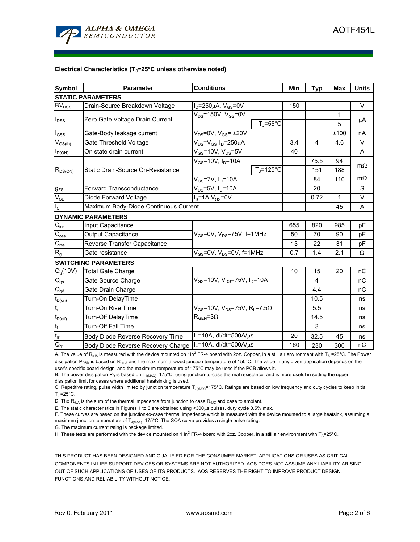

#### Electrical Characteristics (T<sub>J</sub>=25°C unless otherwise noted)

| <b>Symbol</b>                                        | <b>Parameter</b>                   | <b>Conditions</b>                                                   | Min | <b>Typ</b>     | <b>Max</b> | <b>Units</b> |  |  |  |
|------------------------------------------------------|------------------------------------|---------------------------------------------------------------------|-----|----------------|------------|--------------|--|--|--|
| <b>STATIC PARAMETERS</b>                             |                                    |                                                                     |     |                |            |              |  |  |  |
| <b>BV<sub>DSS</sub></b>                              | Drain-Source Breakdown Voltage     | $I_D = 250 \mu A$ , $V_{GS} = 0V$                                   | 150 |                |            | $\vee$       |  |  |  |
|                                                      |                                    | $V_{DS}$ =150V, V <sub>GS</sub> =0V                                 |     |                | 1          |              |  |  |  |
| $I_{DSS}$                                            | Zero Gate Voltage Drain Current    | $T_{\rm J}$ =55°C                                                   |     |                | 5          | μA           |  |  |  |
| $I_{GSS}$                                            | Gate-Body leakage current          | $V_{DS}$ =0V, $V_{GS}$ = $\pm$ 20V                                  |     |                | ±100       | nA           |  |  |  |
| $V_{GS(th)}$                                         | Gate Threshold Voltage             | V <sub>DS</sub> =V <sub>GS</sub> I <sub>D</sub> =250µA              | 3.4 | $\overline{4}$ | 4.6        | V            |  |  |  |
| $I_{D(ON)}$                                          | On state drain current             | $V_{GS}$ =10V, $V_{DS}$ =5V                                         | 40  |                |            | A            |  |  |  |
|                                                      | Static Drain-Source On-Resistance  | $V_{GS} = 10V$ , $I_D = 10A$                                        |     | 75.5           | 94         |              |  |  |  |
| $R_{DS(ON)}$                                         |                                    | $T_J = 125$ °C                                                      |     | 151            | 188        | $m\Omega$    |  |  |  |
|                                                      |                                    | V <sub>GS</sub> =7V, I <sub>D</sub> =10A                            |     | 84             | 110        | $m\Omega$    |  |  |  |
| $g_{FS}$                                             | Forward Transconductance           | $V_{DS}$ =5V, $I_D$ =10A                                            |     | 20             |            | S            |  |  |  |
| $V_{SD}$                                             | Diode Forward Voltage              | $I_S = 1A$ , $V_{GS} = 0V$                                          |     |                | 1          | V            |  |  |  |
| Maximum Body-Diode Continuous Current<br>$I_{\rm S}$ |                                    |                                                                     |     |                | 45         | A            |  |  |  |
|                                                      | <b>DYNAMIC PARAMETERS</b>          |                                                                     |     |                |            |              |  |  |  |
| $\mathbf{C}_{\text{iss}}$                            | Input Capacitance                  |                                                                     | 655 | 820            | 985        | рF           |  |  |  |
| $C_{\text{oss}}$                                     | <b>Output Capacitance</b>          | $V_{GS}$ =0V, V <sub>DS</sub> =75V, f=1MHz                          | 50  | 70             | 90         | рF           |  |  |  |
| $C_{\text{rss}}$                                     | Reverse Transfer Capacitance       |                                                                     | 13  | 22             | 31         | pF           |  |  |  |
| $R_{g}$                                              | Gate resistance                    | $V_{GS}$ =0V, V <sub>DS</sub> =0V, f=1MHz                           | 0.7 | 1.4            | 2.1        | Ω            |  |  |  |
|                                                      | <b>SWITCHING PARAMETERS</b>        |                                                                     |     |                |            |              |  |  |  |
| $Q_g(10V)$                                           | <b>Total Gate Charge</b>           |                                                                     | 10  | 15             | 20         | nC           |  |  |  |
| $Q_{gs}$                                             | Gate Source Charge                 | $V_{GS}$ =10V, $V_{DS}$ =75V, $I_{D}$ =10A                          |     | $\overline{4}$ |            | nC           |  |  |  |
| $\mathsf{Q}_{\underline{\mathsf{gd}}}$               | Gate Drain Charge                  |                                                                     |     | 4.4            |            | nC           |  |  |  |
| $t_{D(0n)}$                                          | Turn-On DelayTime                  |                                                                     |     | 10.5           |            | ns           |  |  |  |
| $t_{r}$                                              | Turn-On Rise Time                  | $V_{GS}$ =10V, V <sub>DS</sub> =75V, R <sub>L</sub> =7.5 $\Omega$ , |     | 5.5            |            | ns           |  |  |  |
| $t_{D(off)}$                                         | Turn-Off DelayTime                 | $R_{\text{GEN}} = 3\Omega$                                          |     | 14.5           |            | ns           |  |  |  |
| $\mathsf{t}_{\mathsf{f}}$                            | Turn-Off Fall Time                 |                                                                     |     | 3              |            | ns           |  |  |  |
| $t_{rr}$                                             | Body Diode Reverse Recovery Time   | $I_F$ =10A, dl/dt=500A/ $\mu$ s                                     | 20  | 32.5           | 45         | ns           |  |  |  |
| $Q_{rr}$                                             | Body Diode Reverse Recovery Charge | $I_F$ =10A, dl/dt=500A/ $\mu$ s                                     | 160 | 230            | 300        | nC           |  |  |  |

A. The value of R<sub>0JA</sub> is measured with the device mounted on 1in<sup>2</sup> FR-4 board with 2oz. Copper, in a still air environment with T<sub>A</sub> =25°C. The Power dissipation P<sub>DSM</sub> is based on R<sub>6JA</sub> and the maximum allowed junction temperature of 150°C. The value in any given application depends on the user's specific board design, and the maximum temperature of 175°C may be used if the PCB allows it.

B. The power dissipation P<sub>D</sub> is based on T<sub>J(MAX)</sub>=175°C, using junction-to-case thermal resistance, and is more useful in setting the upper dissipation limit for cases where additional heatsinking is used.

C. Repetitive rating, pulse width limited by junction temperature T<sub>J(MAX)</sub>=175°C. Ratings are based on low frequency and duty cycles to keep initial  $T_{\text{J}}$  =25°C.

D. The  $R_{\theta JA}$  is the sum of the thermal impedence from junction to case  $R_{\theta JC}$  and case to ambient.

E. The static characteristics in Figures 1 to 6 are obtained using <300µs pulses, duty cycle 0.5% max.

F. These curves are based on the junction-to-case thermal impedence which is measured with the device mounted to a large heatsink, assuming a maximum junction temperature of  $T_{J(MAX)}$ =175°C. The SOA curve provides a single pulse rating.

G. The maximum current rating is package limited.

H. These tests are performed with the device mounted on 1 in<sup>2</sup> FR-4 board with 2oz. Copper, in a still air environment with T<sub>A</sub>=25°C.

THIS PRODUCT HAS BEEN DESIGNED AND QUALIFIED FOR THE CONSUMER MARKET. APPLICATIONS OR USES AS CRITICAL COMPONENTS IN LIFE SUPPORT DEVICES OR SYSTEMS ARE NOT AUTHORIZED. AOS DOES NOT ASSUME ANY LIABILITY ARISING OUT OF SUCH APPLICATIONS OR USES OF ITS PRODUCTS. AOS RESERVES THE RIGHT TO IMPROVE PRODUCT DESIGN, FUNCTIONS AND RELIABILITY WITHOUT NOTICE.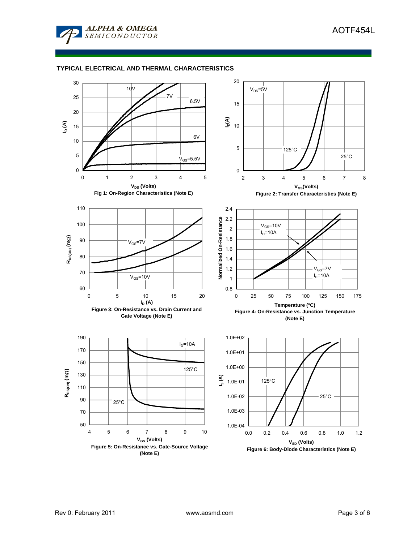

# **TYPICAL ELECTRICAL AND THERMAL CHARACTERISTICS**

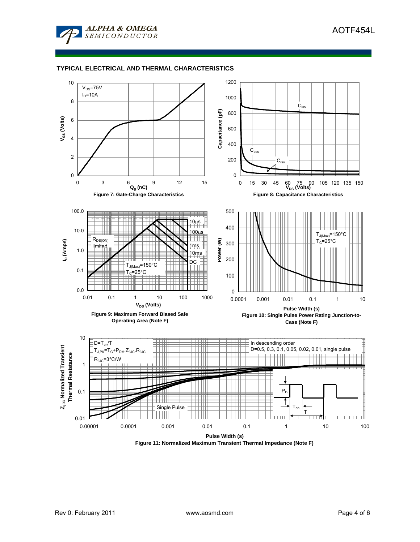

# **TYPICAL ELECTRICAL AND THERMAL CHARACTERISTICS**



**Figure 11: Normalized Maximum Transient Thermal Impedance (Note F)**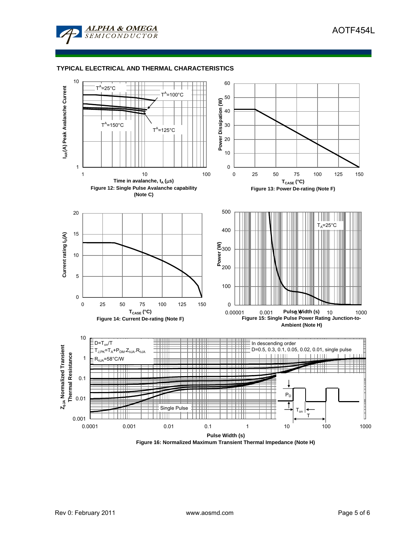

## **TYPICAL ELECTRICAL AND THERMAL CHARACTERISTICS**



**Figure 16: Normalized Maximum Transient Thermal Impedance (Note H)**